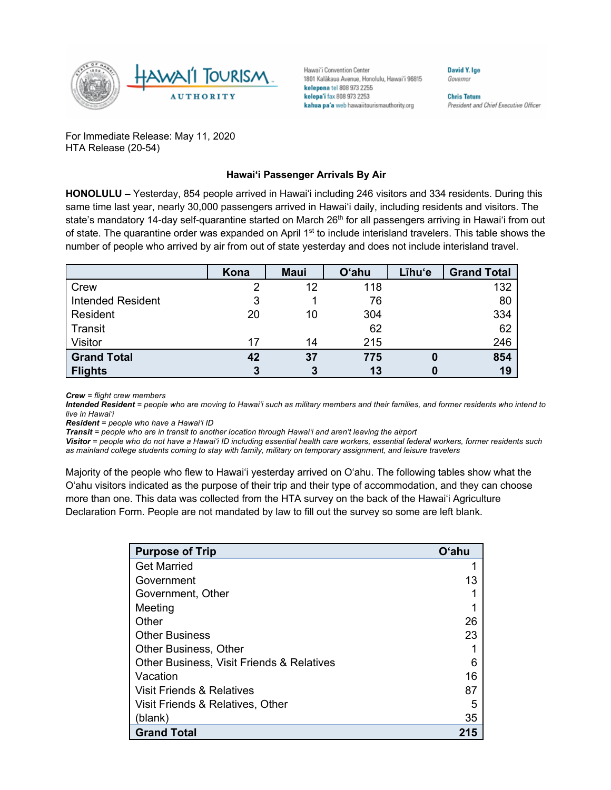

Hawai'i Convention Center 1801 Kalākaua Avenue, Honolulu, Hawai'i 96815 kelepona tel 808 973 2255 kelepa'i fax 808 973 2253 kahua pa'a web hawaiitourismauthority.org

David Y. Ige Governor

**Chris Tatum** President and Chief Executive Officer

For Immediate Release: May 11, 2020 HTA Release (20-54)

## **Hawai'i Passenger Arrivals By Air**

**HONOLULU –** Yesterday, 854 people arrived in Hawai'i including 246 visitors and 334 residents. During this same time last year, nearly 30,000 passengers arrived in Hawai'i daily, including residents and visitors. The state's mandatory 14-day self-quarantine started on March 26<sup>th</sup> for all passengers arriving in Hawai'i from out of state. The quarantine order was expanded on April 1<sup>st</sup> to include interisland travelers. This table shows the number of people who arrived by air from out of state yesterday and does not include interisland travel.

|                          | Kona | <b>Maui</b> | <b>O'ahu</b> | Līhu'e | <b>Grand Total</b> |
|--------------------------|------|-------------|--------------|--------|--------------------|
| Crew                     |      | 12          | 118          |        | 132                |
| <b>Intended Resident</b> | 3    |             | 76           |        | 80                 |
| Resident                 | 20   | 10          | 304          |        | 334                |
| <b>Transit</b>           |      |             | 62           |        | 62                 |
| <b>Visitor</b>           | 17   | 14          | 215          |        | 246                |
| <b>Grand Total</b>       | 42   | 37          | 775          | O      | 854                |
| <b>Flights</b>           | 3    |             | 13           |        | 19                 |

*Crew = flight crew members*

*Intended Resident = people who are moving to Hawai'i such as military members and their families, and former residents who intend to live in Hawai'i* 

*Resident = people who have a Hawai'i ID*

*Transit = people who are in transit to another location through Hawai'i and aren't leaving the airport*

*Visitor = people who do not have a Hawai'i ID including essential health care workers, essential federal workers, former residents such as mainland college students coming to stay with family, military on temporary assignment, and leisure travelers*

Majority of the people who flew to Hawai'i yesterday arrived on O'ahu. The following tables show what the O'ahu visitors indicated as the purpose of their trip and their type of accommodation, and they can choose more than one. This data was collected from the HTA survey on the back of the Hawai'i Agriculture Declaration Form. People are not mandated by law to fill out the survey so some are left blank.

| <b>Purpose of Trip</b>                    | O'ahu |
|-------------------------------------------|-------|
| <b>Get Married</b>                        |       |
| Government                                | 13    |
| Government, Other                         |       |
| Meeting                                   |       |
| Other                                     | 26    |
| <b>Other Business</b>                     | 23    |
| <b>Other Business, Other</b>              |       |
| Other Business, Visit Friends & Relatives | 6     |
| Vacation                                  | 16    |
| Visit Friends & Relatives                 | 87    |
| Visit Friends & Relatives, Other          | 5     |
| (blank)                                   | 35    |
| <b>Grand Total</b>                        | 215   |